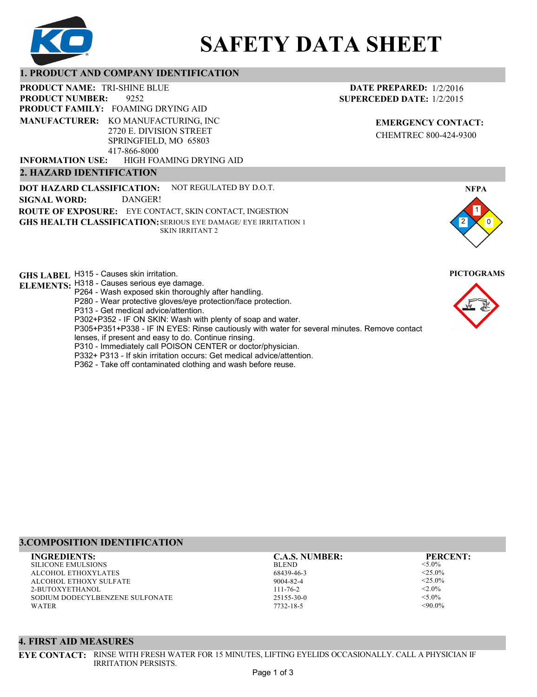

# **SAFETY DATA SHEET**

# **1. PRODUCT AND COMPANY IDENTIFICATION**

9252 **PRODUCT NAME: TRI-SHINE BLUE PRODUCT FAMILY: FOAMING DRYING AID** HIGH FOAMING DRYING AID **PRODUCT NUMBER: MANUFACTURER:** KO MANUFACTURING, INC 2720 E. DIVISION STREET SPRINGFIELD, MO 65803 417-866-8000 **INFORMATION USE:**

### **2. HAZARD IDENTIFICATION**

**DOT HAZARD CLASSIFICATION: GHS HEALTH CLASSIFICATION:** SERIOUS EYE DAMAGE/ EYE IRRITATION 1 **ROUTE OF EXPOSURE:** EYE CONTACT, SKIN CONTACT, INGESTION NOT REGULATED BY D.O.T. SKIN IRRITANT 2 **SIGNAL WORD:** DANGER!

**GHS LABEL**  H315 - Causes skin irritation. **PICTOGRAMS**

- **ELEMENTS:** H318 Causes serious eye damage.
	- P264 Wash exposed skin thoroughly after handling.
	- P280 Wear protective gloves/eye protection/face protection.
	- P313 Get medical advice/attention.
	- P302+P352 IF ON SKIN: Wash with plenty of soap and water.

P305+P351+P338 - IF IN EYES: Rinse cautiously with water for several minutes. Remove contact

- lenses, if present and easy to do. Continue rinsing.
- P310 Immediately call POISON CENTER or doctor/physician.
- P332+ P313 If skin irritation occurs: Get medical advice/attention.
- P362 Take off contaminated clothing and wash before reuse.

# **DATE PREPARED:** 1/2/2016 **SUPERCEDED DATE:** 1/2/2015

**EMERGENCY CONTACT:** CHEMTREC 800-424-9300



# **3.COMPOSITION IDENTIFICATION**

SILICONE EMULSIONS ALCOHOL ETHOXYLATES ALCOHOL ETHOXY SULFATE 2-BUTOXYETHANOL SODIUM DODECYLBENZENE SULFONATE WATER

BLEND 68439-46-3 9004-82-4 111-76-2 25155-30-0 **INGREDIENTS: C.A.S. NUMBER: PERCENT:**

7732-18-5

<5.0%  $<$ 25.0%  $<$ 25.0%  $< 2.0\%$  $< 5.0\%$  $<90.0\%$ 

# **4. FIRST AID MEASURES**

**EYE CONTACT:** RINSE WITH FRESH WATER FOR 15 MINUTES, LIFTING EYELIDS OCCASIONALLY. CALL A PHYSICIAN IF IRRITATION PERSISTS.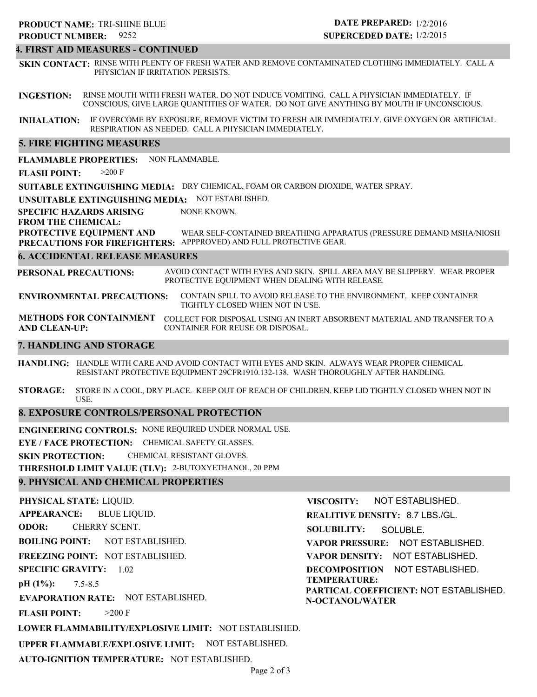#### **4. FIRST AID MEASURES - CONTINUED**

**SKIN CONTACT:** RINSE WITH PLENTY OF FRESH WATER AND REMOVE CONTAMINATED CLOTHING IMMEDIATELY. CALL A PHYSICIAN IF IRRITATION PERSISTS.

**INGESTION:** RINSE MOUTH WITH FRESH WATER. DO NOT INDUCE VOMITING. CALL A PHYSICIAN IMMEDIATELY. IF CONSCIOUS, GIVE LARGE QUANTITIES OF WATER. DO NOT GIVE ANYTHING BY MOUTH IF UNCONSCIOUS.

**INHALATION:** IF OVERCOME BY EXPOSURE, REMOVE VICTIM TO FRESH AIR IMMEDIATELY. GIVE OXYGEN OR ARTIFICIAL RESPIRATION AS NEEDED. CALL A PHYSICIAN IMMEDIATELY.

#### **5. FIRE FIGHTING MEASURES**

**FLAMMABLE PROPERTIES:** NON FLAMMABLE.

**FLASH POINT:** >200 F

**SUITABLE EXTINGUISHING MEDIA:** DRY CHEMICAL, FOAM OR CARBON DIOXIDE, WATER SPRAY.

**UNSUITABLE EXTINGUISHING MEDIA:** NOT ESTABLISHED.

**SPECIFIC HAZARDS ARISING** NONE KNOWN.

#### **FROM THE CHEMICAL:**

**PROTECTIVE EQUIPMENT AND PRECAUTIONS FOR FIREFIGHTERS:** APPPROVED) AND FULL PROTECTIVE GEAR. WEAR SELF-CONTAINED BREATHING APPARATUS (PRESSURE DEMAND MSHA/NIOSH

#### **6. ACCIDENTAL RELEASE MEASURES**

**PERSONAL PRECAUTIONS:** AVOID CONTACT WITH EYES AND SKIN. SPILL AREA MAY BE SLIPPERY. WEAR PROPER PROTECTIVE EQUIPMENT WHEN DEALING WITH RELEASE.

**ENVIRONMENTAL PRECAUTIONS:** CONTAIN SPILL TO AVOID RELEASE TO THE ENVIRONMENT. KEEP CONTAINER TIGHTLY CLOSED WHEN NOT IN USE.

**METHODS FOR CONTAINMENT** COLLECT FOR DISPOSAL USING AN INERT ABSORBENT MATERIAL AND TRANSFER TO A **AND CLEAN-UP:** CONTAINER FOR REUSE OR DISPOSAL.

#### **7. HANDLING AND STORAGE**

**HANDLING:** HANDLE WITH CARE AND AVOID CONTACT WITH EYES AND SKIN. ALWAYS WEAR PROPER CHEMICAL RESISTANT PROTECTIVE EQUIPMENT 29CFR1910.132-138. WASH THOROUGHLY AFTER HANDLING.

**STORAGE:** STORE IN A COOL, DRY PLACE. KEEP OUT OF REACH OF CHILDREN. KEEP LID TIGHTLY CLOSED WHEN NOT IN USE.

#### **8. EXPOSURE CONTROLS/PERSONAL PROTECTION**

**ENGINEERING CONTROLS:** NONE REQUIRED UNDER NORMAL USE.

**EYE / FACE PROTECTION:** CHEMICAL SAFETY GLASSES.

**SKIN PROTECTION:** CHEMICAL RESISTANT GLOVES.

**THRESHOLD LIMIT VALUE (TLV):** 2-BUTOXYETHANOL, 20 PPM

#### **9. PHYSICAL AND CHEMICAL PROPERTIES**

**PHYSICAL STATE:** LIQUID. **APPEARANCE: ODOR: BOILING POINT:** NOT ESTABLISHED. **FREEZING POINT:** NOT ESTABLISHED. **SPECIFIC GRAVITY:** 1.02 **pH (1%): EVAPORATION RATE:** NOT ESTABLISHED. **FLASH POINT: LOWER FLAMMABILITY/EXPLOSIVE LIMIT:** NOT ESTABLISHED. **UPPER FLAMMABLE/EXPLOSIVE LIMIT:** NOT ESTABLISHED. 7.5-8.5  $>200$  F BLUE LIQUID. CHERRY SCENT. **VISCOSITY: REALITIVE DENSITY:** 8.7 LBS./GL. **SOLUBILITY: VAPOR PRESSURE:** NOT ESTABLISHED. **VAPOR DENSITY:** NOT ESTABLISHED. **DECOMPOSITION** NOT ESTABLISHED. **TEMPERATURE: PARTICAL COEFFICIENT:** NOT ESTABLISHED. **N-OCTANOL/WATER** NOT ESTABLISHED. SOLUBLE.

**AUTO-IGNITION TEMPERATURE:** NOT ESTABLISHED.